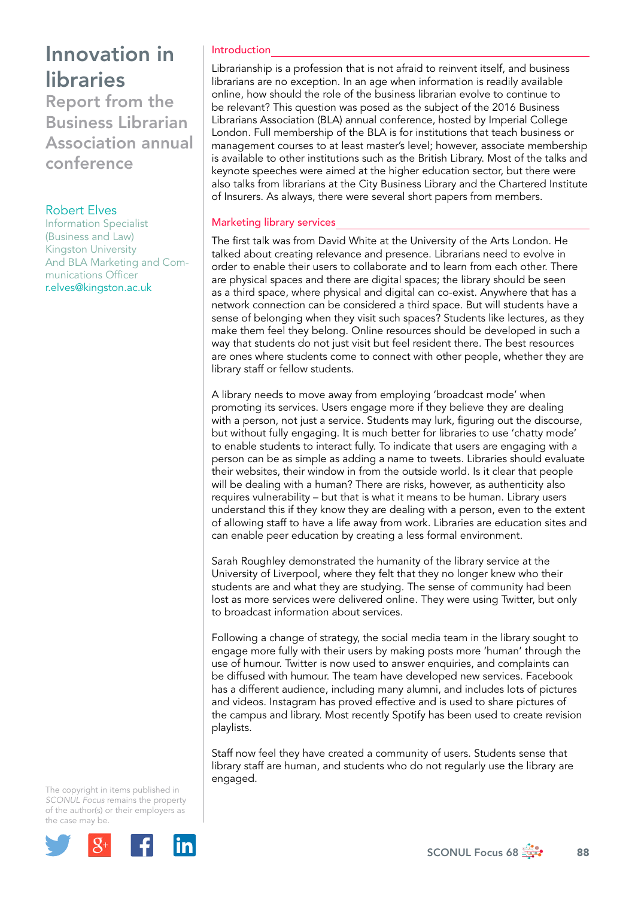Report from the Business Librarian Association annual conference

## Robert Elves

Information Specialist (Business and Law) Kingston University And BLA Marketing and Communications Officer [r.elves@kingston.ac.uk](file:///Users/stevegardner/Desktop/Focus%2068/r.elves@kingston.ac.uk)

### Introduction

Librarianship is a profession that is not afraid to reinvent itself, and business librarians are no exception. In an age when information is readily available online, how should the role of the business librarian evolve to continue to be relevant? This question was posed as the subject of the 2016 Business Librarians Association (BLA) annual conference, hosted by Imperial College London. Full membership of the BLA is for institutions that teach business or management courses to at least master's level; however, associate membership is available to other institutions such as the British Library. Most of the talks and keynote speeches were aimed at the higher education sector, but there were also talks from librarians at the City Business Library and the Chartered Institute of Insurers. As always, there were several short papers from members.

### Marketing library services

The first talk was from David White at the University of the Arts London. He talked about creating relevance and presence. Librarians need to evolve in order to enable their users to collaborate and to learn from each other. There are physical spaces and there are digital spaces; the library should be seen as a third space, where physical and digital can co-exist. Anywhere that has a network connection can be considered a third space. But will students have a sense of belonging when they visit such spaces? Students like lectures, as they make them feel they belong. Online resources should be developed in such a way that students do not just visit but feel resident there. The best resources are ones where students come to connect with other people, whether they are library staff or fellow students.

A library needs to move away from employing 'broadcast mode' when promoting its services. Users engage more if they believe they are dealing with a person, not just a service. Students may lurk, figuring out the discourse, but without fully engaging. It is much better for libraries to use 'chatty mode' to enable students to interact fully. To indicate that users are engaging with a person can be as simple as adding a name to tweets. Libraries should evaluate their websites, their window in from the outside world. Is it clear that people will be dealing with a human? There are risks, however, as authenticity also requires vulnerability – but that is what it means to be human. Library users understand this if they know they are dealing with a person, even to the extent of allowing staff to have a life away from work. Libraries are education sites and can enable peer education by creating a less formal environment.

Sarah Roughley demonstrated the humanity of the library service at the University of Liverpool, where they felt that they no longer knew who their students are and what they are studying. The sense of community had been lost as more services were delivered online. They were using Twitter, but only to broadcast information about services.

Following a change of strategy, the social media team in the library sought to engage more fully with their users by making posts more 'human' through the use of humour. Twitter is now used to answer enquiries, and complaints can be diffused with humour. The team have developed new services. Facebook has a different audience, including many alumni, and includes lots of pictures and videos. Instagram has proved effective and is used to share pictures of the campus and library. Most recently Spotify has been used to create revision playlists.

Staff now feel they have created a community of users. Students sense that library staff are human, and students who do not regularly use the library are engaged.

The copyright in items published in *SCONUL Focus* remains the property of the author(s) or their employers as the case may be.

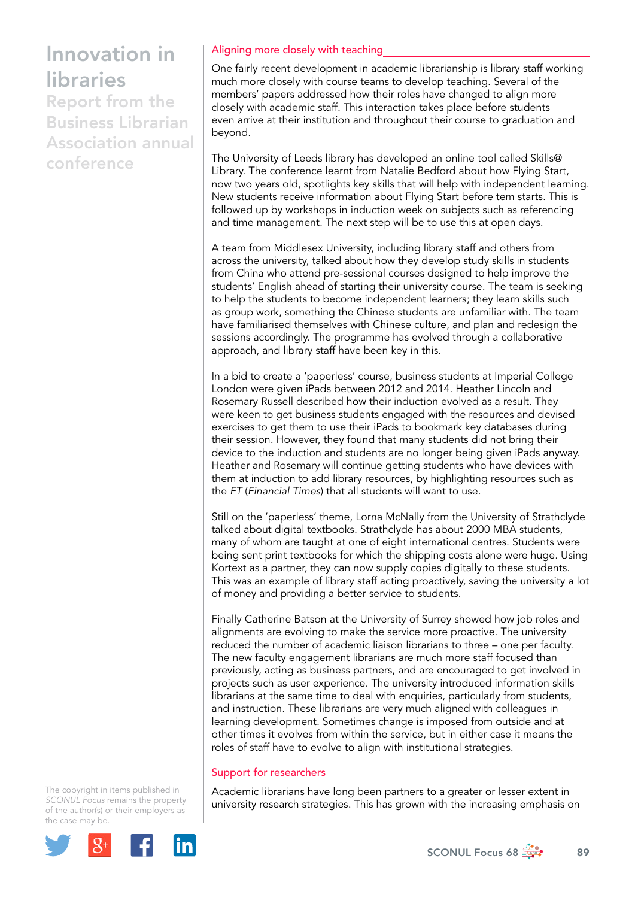Report from the Business Librarian Association annual conference

## Aligning more closely with teaching

One fairly recent development in academic librarianship is library staff working much more closely with course teams to develop teaching. Several of the members' papers addressed how their roles have changed to align more closely with academic staff. This interaction takes place before students even arrive at their institution and throughout their course to graduation and beyond.

The University of Leeds library has developed an online tool called Skills@ Library. The conference learnt from Natalie Bedford about how Flying Start, now two years old, spotlights key skills that will help with independent learning. New students receive information about Flying Start before tem starts. This is followed up by workshops in induction week on subjects such as referencing and time management. The next step will be to use this at open days.

A team from Middlesex University, including library staff and others from across the university, talked about how they develop study skills in students from China who attend pre-sessional courses designed to help improve the students' English ahead of starting their university course. The team is seeking to help the students to become independent learners; they learn skills such as group work, something the Chinese students are unfamiliar with. The team have familiarised themselves with Chinese culture, and plan and redesign the sessions accordingly. The programme has evolved through a collaborative approach, and library staff have been key in this.

In a bid to create a 'paperless' course, business students at Imperial College London were given iPads between 2012 and 2014. Heather Lincoln and Rosemary Russell described how their induction evolved as a result. They were keen to get business students engaged with the resources and devised exercises to get them to use their iPads to bookmark key databases during their session. However, they found that many students did not bring their device to the induction and students are no longer being given iPads anyway. Heather and Rosemary will continue getting students who have devices with them at induction to add library resources, by highlighting resources such as the *FT* (*Financial Times*) that all students will want to use.

Still on the 'paperless' theme, Lorna McNally from the University of Strathclyde talked about digital textbooks. Strathclyde has about 2000 MBA students, many of whom are taught at one of eight international centres. Students were being sent print textbooks for which the shipping costs alone were huge. Using Kortext as a partner, they can now supply copies digitally to these students. This was an example of library staff acting proactively, saving the university a lot of money and providing a better service to students.

Finally Catherine Batson at the University of Surrey showed how job roles and alignments are evolving to make the service more proactive. The university reduced the number of academic liaison librarians to three – one per faculty. The new faculty engagement librarians are much more staff focused than previously, acting as business partners, and are encouraged to get involved in projects such as user experience. The university introduced information skills librarians at the same time to deal with enquiries, particularly from students, and instruction. These librarians are very much aligned with colleagues in learning development. Sometimes change is imposed from outside and at other times it evolves from within the service, but in either case it means the roles of staff have to evolve to align with institutional strategies.

#### Support for researchers

Academic librarians have long been partners to a greater or lesser extent in university research strategies. This has grown with the increasing emphasis on

The copyright in items published in *SCONUL Focus* remains the property of the author(s) or their employers as the case may be.



SCONUL Focus 68  $\frac{1}{200}$  89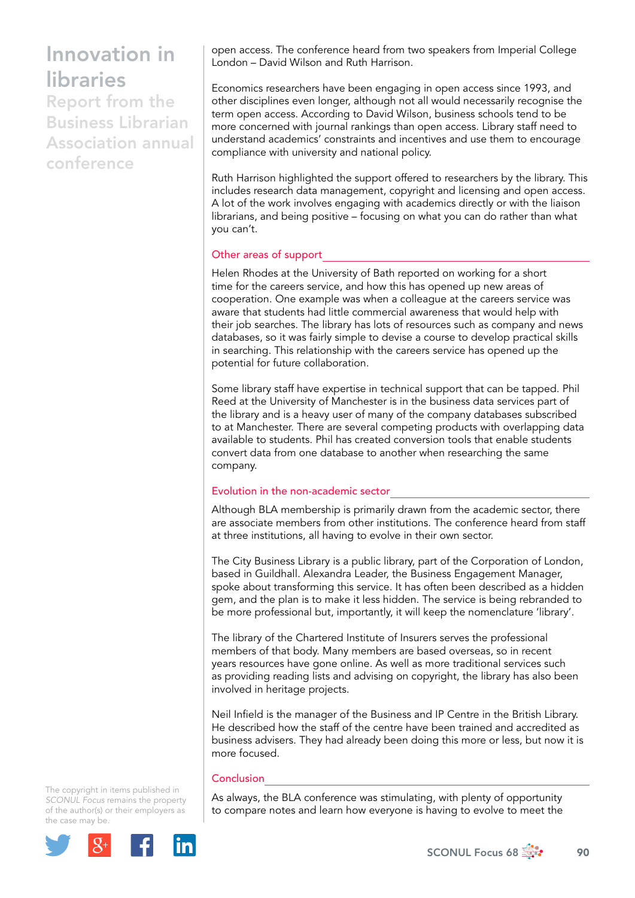Report from the Business Librarian Association annual conference

open access. The conference heard from two speakers from Imperial College London – David Wilson and Ruth Harrison.

Economics researchers have been engaging in open access since 1993, and other disciplines even longer, although not all would necessarily recognise the term open access. According to David Wilson, business schools tend to be more concerned with journal rankings than open access. Library staff need to understand academics' constraints and incentives and use them to encourage compliance with university and national policy.

Ruth Harrison highlighted the support offered to researchers by the library. This includes research data management, copyright and licensing and open access. A lot of the work involves engaging with academics directly or with the liaison librarians, and being positive – focusing on what you can do rather than what you can't.

### Other areas of support

Helen Rhodes at the University of Bath reported on working for a short time for the careers service, and how this has opened up new areas of cooperation. One example was when a colleague at the careers service was aware that students had little commercial awareness that would help with their job searches. The library has lots of resources such as company and news databases, so it was fairly simple to devise a course to develop practical skills in searching. This relationship with the careers service has opened up the potential for future collaboration.

Some library staff have expertise in technical support that can be tapped. Phil Reed at the University of Manchester is in the business data services part of the library and is a heavy user of many of the company databases subscribed to at Manchester. There are several competing products with overlapping data available to students. Phil has created conversion tools that enable students convert data from one database to another when researching the same company.

## Evolution in the non-academic sector

Although BLA membership is primarily drawn from the academic sector, there are associate members from other institutions. The conference heard from staff at three institutions, all having to evolve in their own sector.

The City Business Library is a public library, part of the Corporation of London, based in Guildhall. Alexandra Leader, the Business Engagement Manager, spoke about transforming this service. It has often been described as a hidden gem, and the plan is to make it less hidden. The service is being rebranded to be more professional but, importantly, it will keep the nomenclature 'library'.

The library of the Chartered Institute of Insurers serves the professional members of that body. Many members are based overseas, so in recent years resources have gone online. As well as more traditional services such as providing reading lists and advising on copyright, the library has also been involved in heritage projects.

Neil Infield is the manager of the Business and IP Centre in the British Library. He described how the staff of the centre have been trained and accredited as business advisers. They had already been doing this more or less, but now it is more focused.

### Conclusion

As always, the BLA conference was stimulating, with plenty of opportunity to compare notes and learn how everyone is having to evolve to meet the

The copyright in items published in *SCONUL Focus* remains the property of the author(s) or their employers as the case may be.



SCONUL Focus 68  $\frac{1}{200}$  90